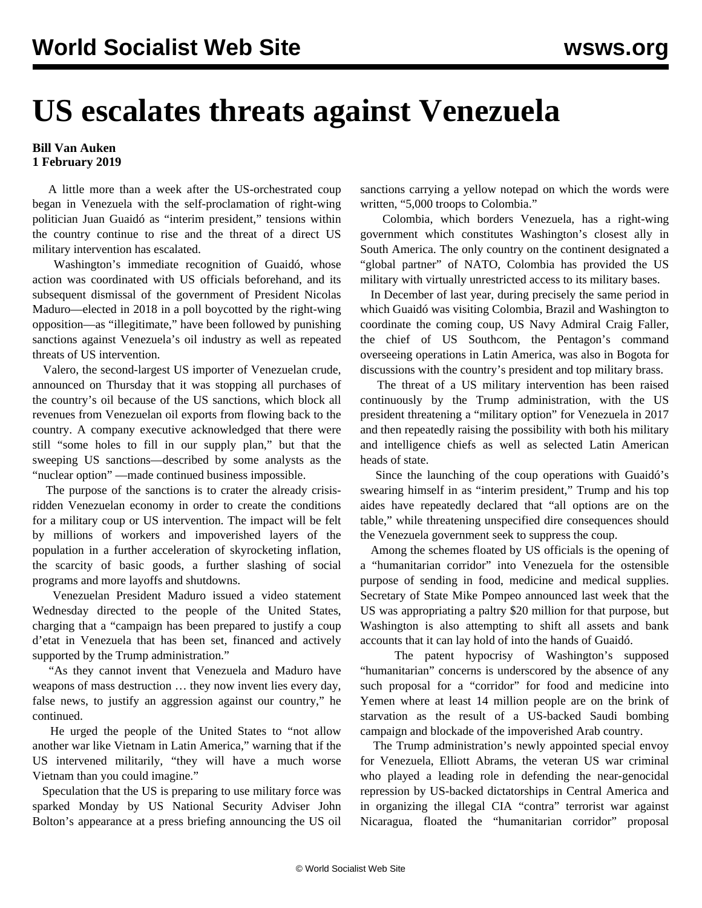## **US escalates threats against Venezuela**

## **Bill Van Auken 1 February 2019**

 A little more than a week after the US-orchestrated coup began in Venezuela with the self-proclamation of right-wing politician Juan Guaidó as "interim president," tensions within the country continue to rise and the threat of a direct US military intervention has escalated.

 Washington's immediate recognition of Guaidó, whose action was coordinated with US officials beforehand, and its subsequent dismissal of the government of President Nicolas Maduro—elected in 2018 in a poll boycotted by the right-wing opposition—as "illegitimate," have been followed by punishing sanctions against Venezuela's oil industry as well as repeated threats of US intervention.

 Valero, the second-largest US importer of Venezuelan crude, announced on Thursday that it was stopping all purchases of the country's oil because of the US sanctions, which block all revenues from Venezuelan oil exports from flowing back to the country. A company executive acknowledged that there were still "some holes to fill in our supply plan," but that the sweeping US sanctions—described by some analysts as the "nuclear option" —made continued business impossible.

 The purpose of the sanctions is to crater the already crisisridden Venezuelan economy in order to create the conditions for a military coup or US intervention. The impact will be felt by millions of workers and impoverished layers of the population in a further acceleration of skyrocketing inflation, the scarcity of basic goods, a further slashing of social programs and more layoffs and shutdowns.

 Venezuelan President Maduro issued a video statement Wednesday directed to the people of the United States, charging that a "campaign has been prepared to justify a coup d'etat in Venezuela that has been set, financed and actively supported by the Trump administration."

 "As they cannot invent that Venezuela and Maduro have weapons of mass destruction … they now invent lies every day, false news, to justify an aggression against our country," he continued.

 He urged the people of the United States to "not allow another war like Vietnam in Latin America," warning that if the US intervened militarily, "they will have a much worse Vietnam than you could imagine."

 Speculation that the US is preparing to use military force was sparked Monday by US National Security Adviser John Bolton's appearance at a press briefing announcing the US oil sanctions carrying a yellow notepad on which the words were written, "5,000 troops to Colombia."

 Colombia, which borders Venezuela, has a right-wing government which constitutes Washington's closest ally in South America. The only country on the continent designated a "global partner" of NATO, Colombia has provided the US military with virtually unrestricted access to its military bases.

 In December of last year, during precisely the same period in which Guaidó was visiting Colombia, Brazil and Washington to coordinate the coming coup, US Navy Admiral Craig Faller, the chief of US Southcom, the Pentagon's command overseeing operations in Latin America, was also in Bogota for discussions with the country's president and top military brass.

 The threat of a US military intervention has been raised continuously by the Trump administration, with the US president threatening a "military option" for Venezuela in 2017 and then repeatedly raising the possibility with both his military and intelligence chiefs as well as selected Latin American heads of state.

 Since the launching of the coup operations with Guaidó's swearing himself in as "interim president," Trump and his top aides have repeatedly declared that "all options are on the table," while threatening unspecified dire consequences should the Venezuela government seek to suppress the coup.

 Among the schemes floated by US officials is the opening of a "humanitarian corridor" into Venezuela for the ostensible purpose of sending in food, medicine and medical supplies. Secretary of State Mike Pompeo announced last week that the US was appropriating a paltry \$20 million for that purpose, but Washington is also attempting to shift all assets and bank accounts that it can lay hold of into the hands of Guaidó.

 The patent hypocrisy of Washington's supposed "humanitarian" concerns is underscored by the absence of any such proposal for a "corridor" for food and medicine into Yemen where at least 14 million people are on the brink of starvation as the result of a US-backed Saudi bombing campaign and blockade of the impoverished Arab country.

 The Trump administration's newly appointed special envoy for Venezuela, Elliott Abrams, the veteran US war criminal who played a leading role in defending the near-genocidal repression by US-backed dictatorships in Central America and in organizing the illegal CIA "contra" terrorist war against Nicaragua, floated the "humanitarian corridor" proposal